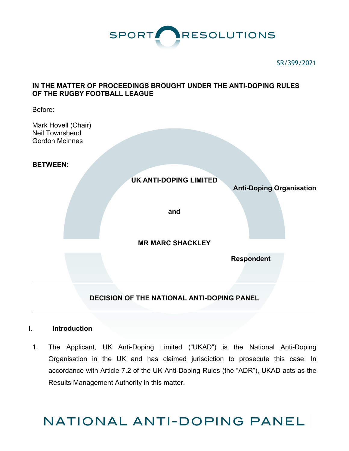

#### SR/399/2021

# **IN THE MATTER OF PROCEEDINGS BROUGHT UNDER THE ANTI-DOPING RULES OF THE RUGBY FOOTBALL LEAGUE**

Before:

Mark Hovell (Chair) Neil Townshend Gordon McInnes

**BETWEEN:** 



# **DECISION OF THE NATIONAL ANTI-DOPING PANEL**

# **I. Introduction**

1. The Applicant, UK Anti-Doping Limited ("UKAD") is the National Anti-Doping Organisation in the UK and has claimed jurisdiction to prosecute this case. In accordance with Article 7.2 of the UK Anti-Doping Rules (the "ADR"), UKAD acts as the Results Management Authority in this matter.

# NATIONAL ANTI-DOPING PANEL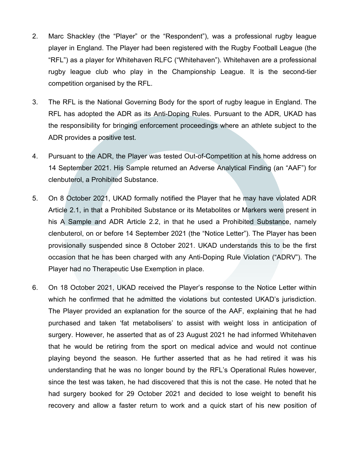- 2. Marc Shackley (the "Player" or the "Respondent"), was a professional rugby league player in England. The Player had been registered with the Rugby Football League (the "RFL") as a player for Whitehaven RLFC ("Whitehaven"). Whitehaven are a professional rugby league club who play in the Championship League. It is the second-tier competition organised by the RFL.
- 3. The RFL is the National Governing Body for the sport of rugby league in England. The RFL has adopted the ADR as its Anti-Doping Rules. Pursuant to the ADR, UKAD has the responsibility for bringing enforcement proceedings where an athlete subject to the ADR provides a positive test.
- 4. Pursuant to the ADR, the Player was tested Out-of-Competition at his home address on 14 September 2021. His Sample returned an Adverse Analytical Finding (an "AAF") for clenbuterol, a Prohibited Substance.
- 5. On 8 October 2021, UKAD formally notified the Player that he may have violated ADR Article 2.1, in that a Prohibited Substance or its Metabolites or Markers were present in his A Sample and ADR Article 2.2, in that he used a Prohibited Substance, namely clenbuterol, on or before 14 September 2021 (the "Notice Letter"). The Player has been provisionally suspended since 8 October 2021. UKAD understands this to be the first occasion that he has been charged with any Anti-Doping Rule Violation ("ADRV"). The Player had no Therapeutic Use Exemption in place.
- 6. On 18 October 2021, UKAD received the Player's response to the Notice Letter within which he confirmed that he admitted the violations but contested UKAD's jurisdiction. The Player provided an explanation for the source of the AAF, explaining that he had purchased and taken 'fat metabolisers' to assist with weight loss in anticipation of surgery. However, he asserted that as of 23 August 2021 he had informed Whitehaven that he would be retiring from the sport on medical advice and would not continue playing beyond the season. He further asserted that as he had retired it was his understanding that he was no longer bound by the RFL's Operational Rules however, since the test was taken, he had discovered that this is not the case. He noted that he had surgery booked for 29 October 2021 and decided to lose weight to benefit his recovery and allow a faster return to work and a quick start of his new position of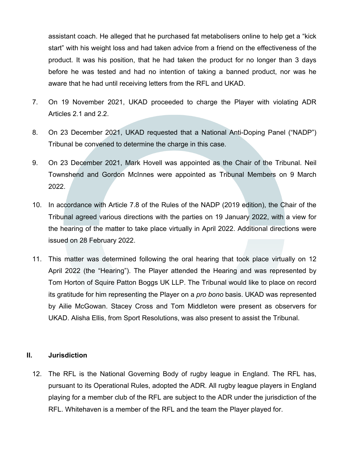assistant coach. He alleged that he purchased fat metabolisers online to help get a "kick start" with his weight loss and had taken advice from a friend on the effectiveness of the product. It was his position, that he had taken the product for no longer than 3 days before he was tested and had no intention of taking a banned product, nor was he aware that he had until receiving letters from the RFL and UKAD.

- 7. On 19 November 2021, UKAD proceeded to charge the Player with violating ADR Articles 2.1 and 2.2.
- 8. On 23 December 2021, UKAD requested that a National Anti-Doping Panel ("NADP") Tribunal be convened to determine the charge in this case.
- 9. On 23 December 2021, Mark Hovell was appointed as the Chair of the Tribunal. Neil Townshend and Gordon McInnes were appointed as Tribunal Members on 9 March 2022.
- 10. In accordance with Article 7.8 of the Rules of the NADP (2019 edition), the Chair of the Tribunal agreed various directions with the parties on 19 January 2022, with a view for the hearing of the matter to take place virtually in April 2022. Additional directions were issued on 28 February 2022.
- 11. This matter was determined following the oral hearing that took place virtually on 12 April 2022 (the "Hearing"). The Player attended the Hearing and was represented by Tom Horton of Squire Patton Boggs UK LLP. The Tribunal would like to place on record its gratitude for him representing the Player on a *pro bono* basis. UKAD was represented by Ailie McGowan. Stacey Cross and Tom Middleton were present as observers for UKAD. Alisha Ellis, from Sport Resolutions, was also present to assist the Tribunal.

#### **II. Jurisdiction**

12. The RFL is the National Governing Body of rugby league in England. The RFL has, pursuant to its Operational Rules, adopted the ADR. All rugby league players in England playing for a member club of the RFL are subject to the ADR under the jurisdiction of the RFL. Whitehaven is a member of the RFL and the team the Player played for.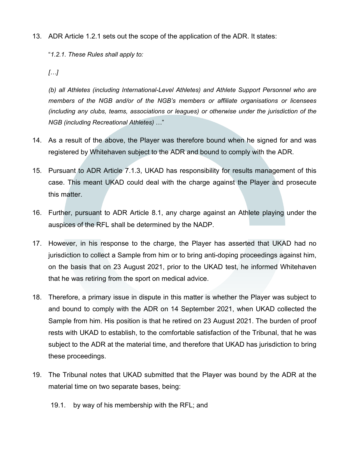13. ADR Article 1.2.1 sets out the scope of the application of the ADR. It states:

"*1.2.1. These Rules shall apply to:* 

*[…]*

*(b) all Athletes (including International-Level Athletes) and Athlete Support Personnel who are members of the NGB and/or of the NGB's members or affiliate organisations or licensees (including any clubs, teams, associations or leagues) or otherwise under the jurisdiction of the NGB (including Recreational Athletes)* …"

- 14. As a result of the above, the Player was therefore bound when he signed for and was registered by Whitehaven subject to the ADR and bound to comply with the ADR.
- 15. Pursuant to ADR Article 7.1.3, UKAD has responsibility for results management of this case. This meant UKAD could deal with the charge against the Player and prosecute this matter.
- 16. Further, pursuant to ADR Article 8.1, any charge against an Athlete playing under the auspices of the RFL shall be determined by the NADP.
- 17. However, in his response to the charge, the Player has asserted that UKAD had no jurisdiction to collect a Sample from him or to bring anti-doping proceedings against him, on the basis that on 23 August 2021, prior to the UKAD test, he informed Whitehaven that he was retiring from the sport on medical advice.
- 18. Therefore, a primary issue in dispute in this matter is whether the Player was subject to and bound to comply with the ADR on 14 September 2021, when UKAD collected the Sample from him. His position is that he retired on 23 August 2021. The burden of proof rests with UKAD to establish, to the comfortable satisfaction of the Tribunal, that he was subject to the ADR at the material time, and therefore that UKAD has jurisdiction to bring these proceedings.
- 19. The Tribunal notes that UKAD submitted that the Player was bound by the ADR at the material time on two separate bases, being:
	- 19.1. by way of his membership with the RFL; and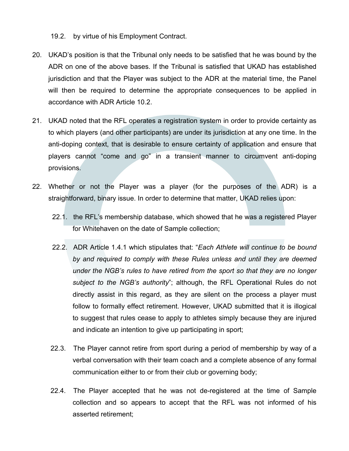19.2. by virtue of his Employment Contract.

- 20. UKAD's position is that the Tribunal only needs to be satisfied that he was bound by the ADR on one of the above bases. If the Tribunal is satisfied that UKAD has established jurisdiction and that the Player was subject to the ADR at the material time, the Panel will then be required to determine the appropriate consequences to be applied in accordance with ADR Article 10.2.
- 21. UKAD noted that the RFL operates a registration system in order to provide certainty as to which players (and other participants) are under its jurisdiction at any one time. In the anti-doping context, that is desirable to ensure certainty of application and ensure that players cannot "come and go" in a transient manner to circumvent anti-doping provisions.
- 22. Whether or not the Player was a player (for the purposes of the ADR) is a straightforward, binary issue. In order to determine that matter, UKAD relies upon:
	- 22.1. the RFL's membership database, which showed that he was a registered Player for Whitehaven on the date of Sample collection;
	- 22.2. ADR Article 1.4.1 which stipulates that: "*Each Athlete will continue to be bound by and required to comply with these Rules unless and until they are deemed under the NGB's rules to have retired from the sport so that they are no longer subject to the NGB's authority*"; although, the RFL Operational Rules do not directly assist in this regard, as they are silent on the process a player must follow to formally effect retirement. However, UKAD submitted that it is illogical to suggest that rules cease to apply to athletes simply because they are injured and indicate an intention to give up participating in sport;
	- 22.3. The Player cannot retire from sport during a period of membership by way of a verbal conversation with their team coach and a complete absence of any formal communication either to or from their club or governing body;
	- 22.4. The Player accepted that he was not de-registered at the time of Sample collection and so appears to accept that the RFL was not informed of his asserted retirement;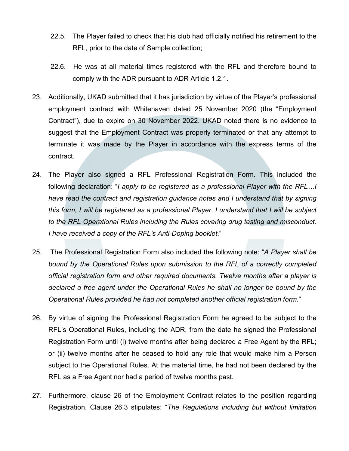- 22.5. The Player failed to check that his club had officially notified his retirement to the RFL, prior to the date of Sample collection;
- 22.6. He was at all material times registered with the RFL and therefore bound to comply with the ADR pursuant to ADR Article 1.2.1.
- 23. Additionally, UKAD submitted that it has jurisdiction by virtue of the Player's professional employment contract with Whitehaven dated 25 November 2020 (the "Employment Contract"), due to expire on 30 November 2022. UKAD noted there is no evidence to suggest that the Employment Contract was properly terminated or that any attempt to terminate it was made by the Player in accordance with the express terms of the contract.
- 24. The Player also signed a RFL Professional Registration Form. This included the following declaration: "*I apply to be registered as a professional Player with the RFL…I have read the contract and registration guidance notes and I understand that by signing this form, I will be registered as a professional Player. I understand that I will be subject to the RFL Operational Rules including the Rules covering drug testing and misconduct. I have received a copy of the RFL's Anti-Doping booklet*."
- 25. The Professional Registration Form also included the following note: "*A Player shall be bound by the Operational Rules upon submission to the RFL of a correctly completed official registration form and other required documents. Twelve months after a player is declared a free agent under the Operational Rules he shall no longer be bound by the Operational Rules provided he had not completed another official registration form.*"
- 26. By virtue of signing the Professional Registration Form he agreed to be subject to the RFL's Operational Rules, including the ADR, from the date he signed the Professional Registration Form until (i) twelve months after being declared a Free Agent by the RFL; or (ii) twelve months after he ceased to hold any role that would make him a Person subject to the Operational Rules. At the material time, he had not been declared by the RFL as a Free Agent nor had a period of twelve months past.
- 27. Furthermore, clause 26 of the Employment Contract relates to the position regarding Registration. Clause 26.3 stipulates: "*The Regulations including but without limitation*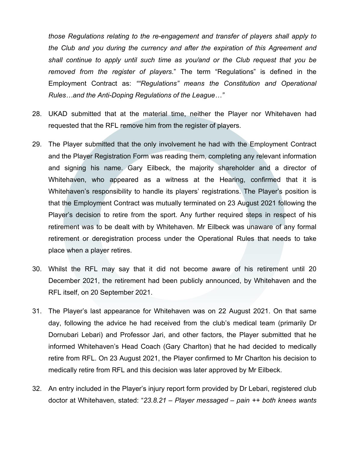*those Regulations relating to the re-engagement and transfer of players shall apply to the Club and you during the currency and after the expiration of this Agreement and shall continue to apply until such time as you/and or the Club request that you be removed from the register of players*." The term "Regulations" is defined in the Employment Contract as: *""Regulations" means the Constitution and Operational Rules…and the Anti-Doping Regulations of the League…"*

- 28. UKAD submitted that at the material time, neither the Player nor Whitehaven had requested that the RFL remove him from the register of players.
- 29. The Player submitted that the only involvement he had with the Employment Contract and the Player Registration Form was reading them, completing any relevant information and signing his name. Gary Eilbeck, the majority shareholder and a director of Whitehaven, who appeared as a witness at the Hearing, confirmed that it is Whitehaven's responsibility to handle its players' registrations. The Player's position is that the Employment Contract was mutually terminated on 23 August 2021 following the Player's decision to retire from the sport. Any further required steps in respect of his retirement was to be dealt with by Whitehaven. Mr Eilbeck was unaware of any formal retirement or deregistration process under the Operational Rules that needs to take place when a player retires.
- 30. Whilst the RFL may say that it did not become aware of his retirement until 20 December 2021, the retirement had been publicly announced, by Whitehaven and the RFL itself, on 20 September 2021.
- 31. The Player's last appearance for Whitehaven was on 22 August 2021. On that same day, following the advice he had received from the club's medical team (primarily Dr Dornubari Lebari) and Professor Jari, and other factors, the Player submitted that he informed Whitehaven's Head Coach (Gary Charlton) that he had decided to medically retire from RFL. On 23 August 2021, the Player confirmed to Mr Charlton his decision to medically retire from RFL and this decision was later approved by Mr Eilbeck.
- 32. An entry included in the Player's injury report form provided by Dr Lebari, registered club doctor at Whitehaven, stated: "*23.8.21 – Player messaged – pain ++ both knees wants*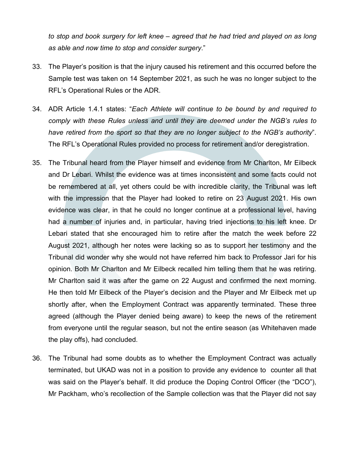*to stop and book surgery for left knee – agreed that he had tried and played on as long as able and now time to stop and consider surgery*."

- 33. The Player's position is that the injury caused his retirement and this occurred before the Sample test was taken on 14 September 2021, as such he was no longer subject to the RFL's Operational Rules or the ADR.
- 34. ADR Article 1.4.1 states: "*Each Athlete will continue to be bound by and required to comply with these Rules unless and until they are deemed under the NGB's rules to have retired from the sport so that they are no longer subject to the NGB's authority*". The RFL's Operational Rules provided no process for retirement and/or deregistration.
- 35. The Tribunal heard from the Player himself and evidence from Mr Charlton, Mr Eilbeck and Dr Lebari. Whilst the evidence was at times inconsistent and some facts could not be remembered at all, yet others could be with incredible clarity, the Tribunal was left with the impression that the Player had looked to retire on 23 August 2021. His own evidence was clear, in that he could no longer continue at a professional level, having had a number of injuries and, in particular, having tried injections to his left knee. Dr Lebari stated that she encouraged him to retire after the match the week before 22 August 2021, although her notes were lacking so as to support her testimony and the Tribunal did wonder why she would not have referred him back to Professor Jari for his opinion. Both Mr Charlton and Mr Eilbeck recalled him telling them that he was retiring. Mr Charlton said it was after the game on 22 August and confirmed the next morning. He then told Mr Eilbeck of the Player's decision and the Player and Mr Eilbeck met up shortly after, when the Employment Contract was apparently terminated. These three agreed (although the Player denied being aware) to keep the news of the retirement from everyone until the regular season, but not the entire season (as Whitehaven made the play offs), had concluded.
- 36. The Tribunal had some doubts as to whether the Employment Contract was actually terminated, but UKAD was not in a position to provide any evidence to counter all that was said on the Player's behalf. It did produce the Doping Control Officer (the "DCO"), Mr Packham, who's recollection of the Sample collection was that the Player did not say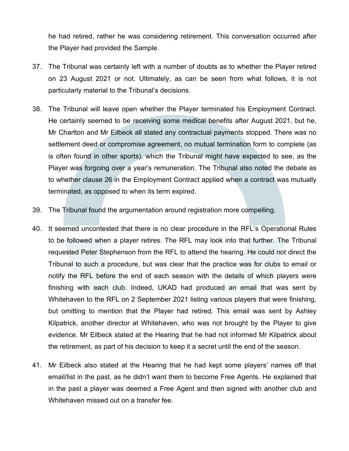he had retired, rather he was considering retirement. This conversation occurred after the Player had provided the Sample.

- 37. The Tribunal was certainly left with a number of doubts as to whether the Player retired on 23 August 2021 or not. Ultimately, as can be seen from what follows, it is not particularly material to the Tribunal's decisions.
- 38. The Tribunal will leave open whether the Player terminated his Employment Contract. He certainly seemed to be receiving some medical benefits after August 2021, but he, Mr Charlton and Mr Eilbeck all stated any contractual payments stopped. There was no settlement deed or compromise agreement, no mutual termination form to complete (as is often found in other sports), which the Tribunal might have expected to see, as the Player was forgoing over a year's remuneration. The Tribunal also noted the debate as to whether clause 26 in the Employment Contract applied when a contract was mutually terminated, as opposed to when its term expired.
- 39. The Tribunal found the argumentation around registration more compelling.
- 40. It seemed uncontested that there is no clear procedure in the RFL's Operational Rules to be followed when a player retires. The RFL may look into that further. The Tribunal requested Peter Stephenson from the RFL to attend the hearing. He could not direct the Tribunal to such a procedure, but was clear that the practice was for clubs to email or notify the RFL before the end of each season with the details of which players were finishing with each club. Indeed, UKAD had produced an email that was sent by Whitehaven to the RFL on 2 September 2021 listing various players that were finishing, but omitting to mention that the Player had retired. This email was sent by Ashley Kilpatrick, another director at Whitehaven, who was not brought by the Player to give evidence. Mr Eilbeck stated at the Hearing that he had not informed Mr Kilpatrick about the retirement, as part of his decision to keep it a secret until the end of the season.
- 41. Mr Eilbeck also stated at the Hearing that he had kept some players' names off that email/list in the past, as he didn't want them to become Free Agents. He explained that in the past a player was deemed a Free Agent and then signed with another club and Whitehaven missed out on a transfer fee.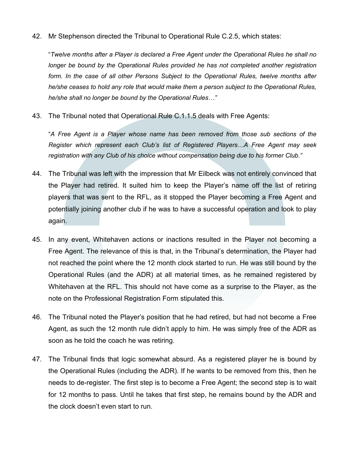42. Mr Stephenson directed the Tribunal to Operational Rule C.2.5, which states:

"*Twelve months after a Player is declared a Free Agent under the Operational Rules he shall no longer be bound by the Operational Rules provided he has not completed another registration form. In the case of all other Persons Subject to the Operational Rules, twelve months after he/she ceases to hold any role that would make them a person subject to the Operational Rules, he/she shall no longer be bound by the Operational Rules…"*

43. The Tribunal noted that Operational Rule C.1.1.5 deals with Free Agents:

"*A Free Agent is a Player whose name has been removed from those sub sections of the Register which represent each Club's list of Registered Players…A Free Agent may seek registration with any Club of his choice without compensation being due to his former Club."*

- 44. The Tribunal was left with the impression that Mr Eilbeck was not entirely convinced that the Player had retired. It suited him to keep the Player's name off the list of retiring players that was sent to the RFL, as it stopped the Player becoming a Free Agent and potentially joining another club if he was to have a successful operation and look to play again.
- 45. In any event, Whitehaven actions or inactions resulted in the Player not becoming a Free Agent. The relevance of this is that, in the Tribunal's determination, the Player had not reached the point where the 12 month clock started to run. He was still bound by the Operational Rules (and the ADR) at all material times, as he remained registered by Whitehaven at the RFL. This should not have come as a surprise to the Player, as the note on the Professional Registration Form stipulated this.
- 46. The Tribunal noted the Player's position that he had retired, but had not become a Free Agent, as such the 12 month rule didn't apply to him. He was simply free of the ADR as soon as he told the coach he was retiring.
- 47. The Tribunal finds that logic somewhat absurd. As a registered player he is bound by the Operational Rules (including the ADR). If he wants to be removed from this, then he needs to de-register. The first step is to become a Free Agent; the second step is to wait for 12 months to pass. Until he takes that first step, he remains bound by the ADR and the clock doesn't even start to run.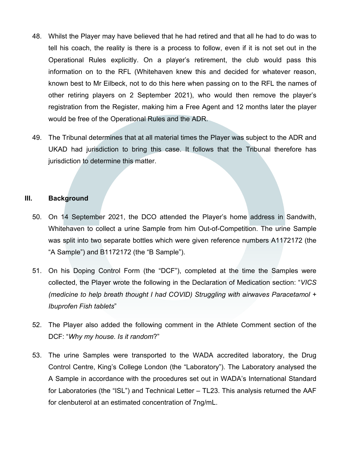- 48. Whilst the Player may have believed that he had retired and that all he had to do was to tell his coach, the reality is there is a process to follow, even if it is not set out in the Operational Rules explicitly. On a player's retirement, the club would pass this information on to the RFL (Whitehaven knew this and decided for whatever reason, known best to Mr Eilbeck, not to do this here when passing on to the RFL the names of other retiring players on 2 September 2021), who would then remove the player's registration from the Register, making him a Free Agent and 12 months later the player would be free of the Operational Rules and the ADR.
- 49. The Tribunal determines that at all material times the Player was subject to the ADR and UKAD had jurisdiction to bring this case. It follows that the Tribunal therefore has jurisdiction to determine this matter.

#### **III. Background**

- 50. On 14 September 2021, the DCO attended the Player's home address in Sandwith, Whitehaven to collect a urine Sample from him Out-of-Competition. The urine Sample was split into two separate bottles which were given reference numbers A1172172 (the "A Sample") and B1172172 (the "B Sample").
- 51. On his Doping Control Form (the "DCF"), completed at the time the Samples were collected, the Player wrote the following in the Declaration of Medication section: "*VICS (medicine to help breath thought I had COVID) Struggling with airwaves Paracetamol + Ibuprofen Fish tablets*"
- 52. The Player also added the following comment in the Athlete Comment section of the DCF: "*Why my house. Is it random*?"
- 53. The urine Samples were transported to the WADA accredited laboratory, the Drug Control Centre, King's College London (the "Laboratory"). The Laboratory analysed the A Sample in accordance with the procedures set out in WADA's International Standard for Laboratories (the "ISL") and Technical Letter – TL23. This analysis returned the AAF for clenbuterol at an estimated concentration of 7ng/mL.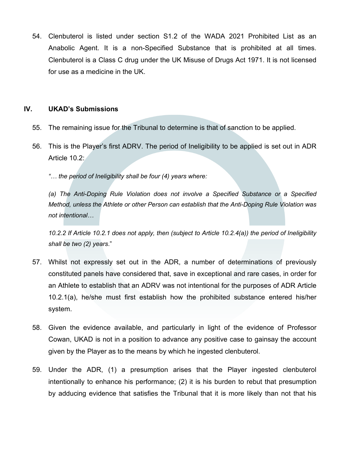54. Clenbuterol is listed under section S1.2 of the WADA 2021 Prohibited List as an Anabolic Agent. It is a non-Specified Substance that is prohibited at all times. Clenbuterol is a Class C drug under the UK Misuse of Drugs Act 1971. It is not licensed for use as a medicine in the UK.

## **IV. UKAD's Submissions**

- 55. The remaining issue for the Tribunal to determine is that of sanction to be applied.
- 56. This is the Player's first ADRV. The period of Ineligibility to be applied is set out in ADR Article 10.2:

*"… the period of Ineligibility shall be four (4) years where:* 

*(a) The Anti-Doping Rule Violation does not involve a Specified Substance or a Specified Method, unless the Athlete or other Person can establish that the Anti-Doping Rule Violation was not intentional…* 

*10.2.2 If Article 10.2.1 does not apply, then (subject to Article 10.2.4(a)) the period of Ineligibility shall be two (2) years*."

- 57. Whilst not expressly set out in the ADR, a number of determinations of previously constituted panels have considered that, save in exceptional and rare cases, in order for an Athlete to establish that an ADRV was not intentional for the purposes of ADR Article 10.2.1(a), he/she must first establish how the prohibited substance entered his/her system.
- 58. Given the evidence available, and particularly in light of the evidence of Professor Cowan, UKAD is not in a position to advance any positive case to gainsay the account given by the Player as to the means by which he ingested clenbuterol.
- 59. Under the ADR, (1) a presumption arises that the Player ingested clenbuterol intentionally to enhance his performance; (2) it is his burden to rebut that presumption by adducing evidence that satisfies the Tribunal that it is more likely than not that his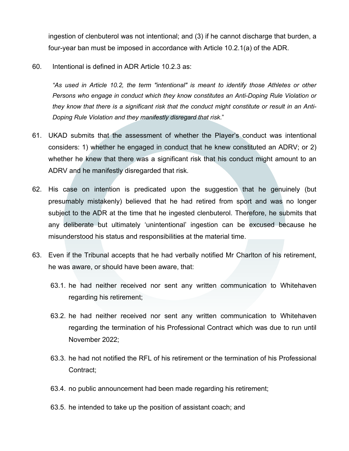ingestion of clenbuterol was not intentional; and (3) if he cannot discharge that burden, a four-year ban must be imposed in accordance with Article 10.2.1(a) of the ADR.

60. Intentional is defined in ADR Article 10.2.3 as:

*"As used in Article 10.2, the term "intentional" is meant to identify those Athletes or other Persons who engage in conduct which they know constitutes an Anti-Doping Rule Violation or they know that there is a significant risk that the conduct might constitute or result in an Anti-Doping Rule Violation and they manifestly disregard that risk*."

- 61. UKAD submits that the assessment of whether the Player's conduct was intentional considers: 1) whether he engaged in conduct that he knew constituted an ADRV; or 2) whether he knew that there was a significant risk that his conduct might amount to an ADRV and he manifestly disregarded that risk.
- 62. His case on intention is predicated upon the suggestion that he genuinely (but presumably mistakenly) believed that he had retired from sport and was no longer subject to the ADR at the time that he ingested clenbuterol. Therefore, he submits that any deliberate but ultimately 'unintentional' ingestion can be excused because he misunderstood his status and responsibilities at the material time.
- 63. Even if the Tribunal accepts that he had verbally notified Mr Charlton of his retirement, he was aware, or should have been aware, that:
	- 63.1. he had neither received nor sent any written communication to Whitehaven regarding his retirement;
	- 63.2. he had neither received nor sent any written communication to Whitehaven regarding the termination of his Professional Contract which was due to run until November 2022;
	- 63.3. he had not notified the RFL of his retirement or the termination of his Professional Contract;
	- 63.4. no public announcement had been made regarding his retirement;
	- 63.5. he intended to take up the position of assistant coach; and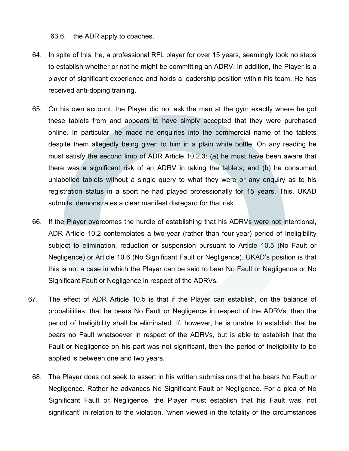63.6. the ADR apply to coaches.

- 64. In spite of this, he, a professional RFL player for over 15 years, seemingly took no steps to establish whether or not he might be committing an ADRV. In addition, the Player is a player of significant experience and holds a leadership position within his team. He has received anti-doping training.
- 65. On his own account, the Player did not ask the man at the gym exactly where he got these tablets from and appears to have simply accepted that they were purchased online. In particular, he made no enquiries into the commercial name of the tablets despite them allegedly being given to him in a plain white bottle. On any reading he must satisfy the second limb of ADR Article 10.2.3: (a) he must have been aware that there was a significant risk of an ADRV in taking the tablets; and (b) he consumed unlabelled tablets without a single query to what they were or any enquiry as to his registration status in a sport he had played professionally for 15 years. This, UKAD submits, demonstrates a clear manifest disregard for that risk.
- 66. If the Player overcomes the hurdle of establishing that his ADRVs were not intentional, ADR Article 10.2 contemplates a two-year (rather than four-year) period of Ineligibility subject to elimination, reduction or suspension pursuant to Article 10.5 (No Fault or Negligence) or Article 10.6 (No Significant Fault or Negligence). UKAD's position is that this is not a case in which the Player can be said to bear No Fault or Negligence or No Significant Fault or Negligence in respect of the ADRVs.
- 67. The effect of ADR Article 10.5 is that if the Player can establish, on the balance of probabilities, that he bears No Fault or Negligence in respect of the ADRVs, then the period of Ineligibility shall be eliminated. If, however, he is unable to establish that he bears no Fault whatsoever in respect of the ADRVs, but is able to establish that the Fault or Negligence on his part was not significant, then the period of Ineligibility to be applied is between one and two years.
	- 68. The Player does not seek to assert in his written submissions that he bears No Fault or Negligence. Rather he advances No Significant Fault or Negligence. For a plea of No Significant Fault or Negligence, the Player must establish that his Fault was 'not significant' in relation to the violation, 'when viewed in the totality of the circumstances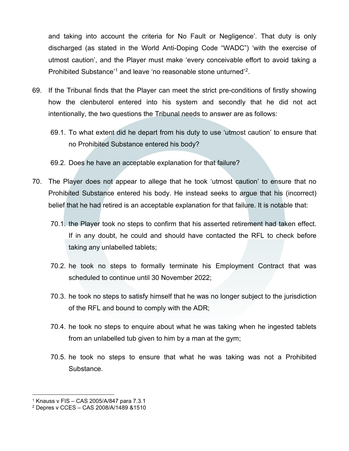and taking into account the criteria for No Fault or Negligence'. That duty is only discharged (as stated in the World Anti-Doping Code "WADC") 'with the exercise of utmost caution', and the Player must make 'every conceivable effort to avoid taking a Prohibited Substance'[1](#page-14-0) and leave 'no reasonable stone unturned'[2](#page-14-1).

- 69. If the Tribunal finds that the Player can meet the strict pre-conditions of firstly showing how the clenbuterol entered into his system and secondly that he did not act intentionally, the two questions the Tribunal needs to answer are as follows:
	- 69.1. To what extent did he depart from his duty to use 'utmost caution' to ensure that no Prohibited Substance entered his body?
	- 69.2. Does he have an acceptable explanation for that failure?
- 70. The Player does not appear to allege that he took 'utmost caution' to ensure that no Prohibited Substance entered his body. He instead seeks to argue that his (incorrect) belief that he had retired is an acceptable explanation for that failure. It is notable that:
	- 70.1. the Player took no steps to confirm that his asserted retirement had taken effect. If in any doubt, he could and should have contacted the RFL to check before taking any unlabelled tablets;
	- 70.2. he took no steps to formally terminate his Employment Contract that was scheduled to continue until 30 November 2022;
	- 70.3. he took no steps to satisfy himself that he was no longer subject to the jurisdiction of the RFL and bound to comply with the ADR;
	- 70.4. he took no steps to enquire about what he was taking when he ingested tablets from an unlabelled tub given to him by a man at the gym;
	- 70.5. he took no steps to ensure that what he was taking was not a Prohibited Substance.

<span id="page-14-0"></span><sup>1</sup> Knauss v FIS – CAS 2005/A/847 para 7.3.1

<span id="page-14-1"></span><sup>2</sup> Depres v CCES – CAS 2008/A/1489 &1510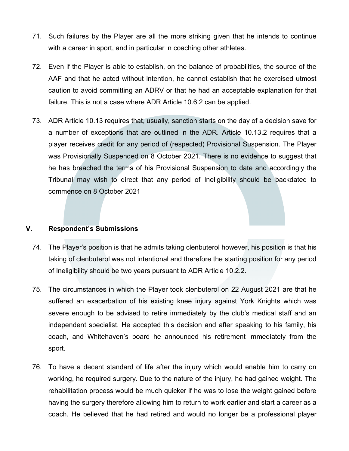- 71. Such failures by the Player are all the more striking given that he intends to continue with a career in sport, and in particular in coaching other athletes.
- 72. Even if the Player is able to establish, on the balance of probabilities, the source of the AAF and that he acted without intention, he cannot establish that he exercised utmost caution to avoid committing an ADRV or that he had an acceptable explanation for that failure. This is not a case where ADR Article 10.6.2 can be applied.
- 73. ADR Article 10.13 requires that, usually, sanction starts on the day of a decision save for a number of exceptions that are outlined in the ADR. Article 10.13.2 requires that a player receives credit for any period of (respected) Provisional Suspension. The Player was Provisionally Suspended on 8 October 2021. There is no evidence to suggest that he has breached the terms of his Provisional Suspension to date and accordingly the Tribunal may wish to direct that any period of Ineligibility should be backdated to commence on 8 October 2021

# **V. Respondent's Submissions**

- 74. The Player's position is that he admits taking clenbuterol however, his position is that his taking of clenbuterol was not intentional and therefore the starting position for any period of Ineligibility should be two years pursuant to ADR Article 10.2.2.
- 75. The circumstances in which the Player took clenbuterol on 22 August 2021 are that he suffered an exacerbation of his existing knee injury against York Knights which was severe enough to be advised to retire immediately by the club's medical staff and an independent specialist. He accepted this decision and after speaking to his family, his coach, and Whitehaven's board he announced his retirement immediately from the sport.
- 76. To have a decent standard of life after the injury which would enable him to carry on working, he required surgery. Due to the nature of the injury, he had gained weight. The rehabilitation process would be much quicker if he was to lose the weight gained before having the surgery therefore allowing him to return to work earlier and start a career as a coach. He believed that he had retired and would no longer be a professional player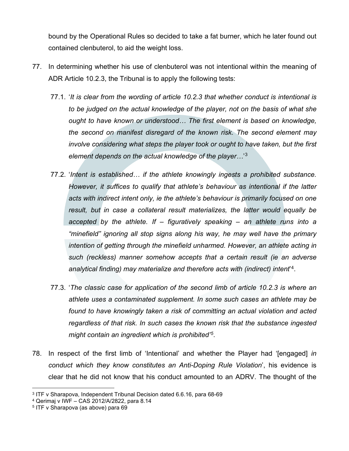bound by the Operational Rules so decided to take a fat burner, which he later found out contained clenbuterol, to aid the weight loss.

- 77. In determining whether his use of clenbuterol was not intentional within the meaning of ADR Article 10.2.3, the Tribunal is to apply the following tests:
	- 77.1. '*It is clear from the wording of article 10.2.3 that whether conduct is intentional is to be judged on the actual knowledge of the player, not on the basis of what she ought to have known or understood… The first element is based on knowledge, the second on manifest disregard of the known risk. The second element may involve considering what steps the player took or ought to have taken, but the first element depends on the actual knowledge of the player…*' [3](#page-16-0)
	- 77.2. '*Intent is established… if the athlete knowingly ingests a prohibited substance. However, it suffices to qualify that athlete's behaviour as intentional if the latter acts with indirect intent only, ie the athlete's behaviour is primarily focused on one result, but in case a collateral result materializes, the latter would equally be accepted by the athlete. If – figuratively speaking – an athlete runs into a "minefield" ignoring all stop signs along his way, he may well have the primary intention of getting through the minefield unharmed. However, an athlete acting in such (reckless) manner somehow accepts that a certain result (ie an adverse analytical finding) may materialize and therefore acts with (indirect) intent*' [4.](#page-16-1)
	- 77.3. '*The classic case for application of the second limb of article 10.2.3 is where an athlete uses a contaminated supplement. In some such cases an athlete may be found to have knowingly taken a risk of committing an actual violation and acted regardless of that risk. In such cases the known risk that the substance ingested might contain an ingredient which is prohibited'[5](#page-16-2)*.
- 78. In respect of the first limb of 'Intentional' and whether the Player had '[engaged] *in conduct which they know constitutes an Anti-Doping Rule Violation*', his evidence is clear that he did not know that his conduct amounted to an ADRV. The thought of the

<span id="page-16-0"></span><sup>3</sup> ITF v Sharapova, Independent Tribunal Decision dated 6.6.16, para 68-69

<span id="page-16-1"></span><sup>4</sup> Qerimaj v IWF – CAS 2012/A/2822, para 8.14

<span id="page-16-2"></span><sup>5</sup> ITF v Sharapova (as above) para 69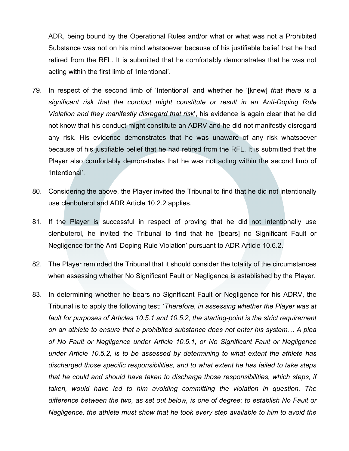ADR, being bound by the Operational Rules and/or what or what was not a Prohibited Substance was not on his mind whatsoever because of his justifiable belief that he had retired from the RFL. It is submitted that he comfortably demonstrates that he was not acting within the first limb of 'Intentional'.

- 79. In respect of the second limb of 'Intentional' and whether he '[knew] *that there is a significant risk that the conduct might constitute or result in an Anti-Doping Rule Violation and they manifestly disregard that risk*', his evidence is again clear that he did not know that his conduct might constitute an ADRV and he did not manifestly disregard any risk. His evidence demonstrates that he was unaware of any risk whatsoever because of his justifiable belief that he had retired from the RFL. It is submitted that the Player also comfortably demonstrates that he was not acting within the second limb of 'Intentional'.
- 80. Considering the above, the Player invited the Tribunal to find that he did not intentionally use clenbuterol and ADR Article 10.2.2 applies.
- 81. If the Player is successful in respect of proving that he did not intentionally use clenbuterol, he invited the Tribunal to find that he '[bears] no Significant Fault or Negligence for the Anti-Doping Rule Violation' pursuant to ADR Article 10.6.2.
- 82. The Player reminded the Tribunal that it should consider the totality of the circumstances when assessing whether No Significant Fault or Negligence is established by the Player.
- 83. In determining whether he bears no Significant Fault or Negligence for his ADRV, the Tribunal is to apply the following test: '*Therefore, in assessing whether the Player was at fault for purposes of Articles 10.5.1 and 10.5.2, the starting-point is the strict requirement on an athlete to ensure that a prohibited substance does not enter his system… A plea of No Fault or Negligence under Article 10.5.1, or No Significant Fault or Negligence under Article 10.5.2, is to be assessed by determining to what extent the athlete has discharged those specific responsibilities, and to what extent he has failed to take steps that he could and should have taken to discharge those responsibilities, which steps, if taken, would have led to him avoiding committing the violation in question. The difference between the two, as set out below, is one of degree: to establish No Fault or Negligence, the athlete must show that he took every step available to him to avoid the*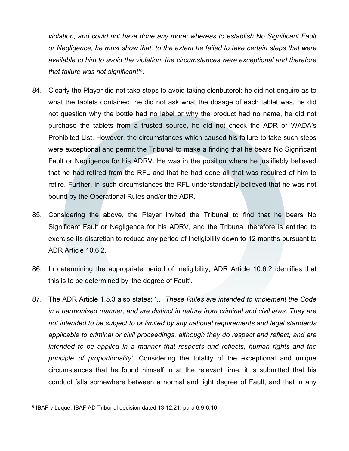*violation, and could not have done any more; whereas to establish No Significant Fault or Negligence, he must show that, to the extent he failed to take certain steps that were available to him to avoid the violation, the circumstances were exceptional and therefore that failure was not significant'[6.](#page-18-0)*

- 84. Clearly the Player did not take steps to avoid taking clenbuterol: he did not enquire as to what the tablets contained, he did not ask what the dosage of each tablet was, he did not question why the bottle had no label or why the product had no name, he did not purchase the tablets from a trusted source, he did not check the ADR or WADA's Prohibited List. However, the circumstances which caused his failure to take such steps were exceptional and permit the Tribunal to make a finding that he bears No Significant Fault or Negligence for his ADRV. He was in the position where he justifiably believed that he had retired from the RFL and that he had done all that was required of him to retire. Further, in such circumstances the RFL understandably believed that he was not bound by the Operational Rules and/or the ADR.
- 85. Considering the above, the Player invited the Tribunal to find that he bears No Significant Fault or Negligence for his ADRV, and the Tribunal therefore is entitled to exercise its discretion to reduce any period of Ineligibility down to 12 months pursuant to ADR Article 10.6.2.
- 86. In determining the appropriate period of Ineligibility, ADR Article 10.6.2 identifies that this is to be determined by 'the degree of Fault'.
- 87. The ADR Article 1.5.3 also states: '… *These Rules are intended to implement the Code in a harmonised manner, and are distinct in nature from criminal and civil laws. They are not intended to be subject to or limited by any national requirements and legal standards applicable to criminal or civil proceedings, although they do respect and reflect, and are intended to be applied in a manner that respects and reflects, human rights and the principle of proportionality'*. Considering the totality of the exceptional and unique circumstances that he found himself in at the relevant time, it is submitted that his conduct falls somewhere between a normal and light degree of Fault, and that in any

<span id="page-18-0"></span><sup>6</sup> IBAF v Luque, IBAF AD Tribunal decision dated 13.12.21, para 6.9-6.10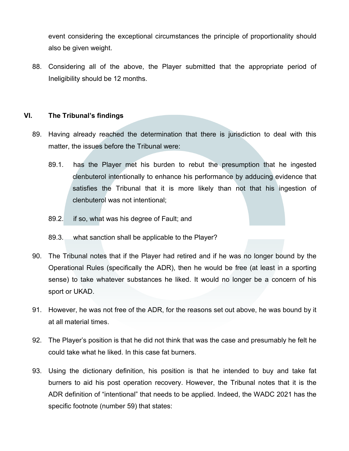event considering the exceptional circumstances the principle of proportionality should also be given weight.

88. Considering all of the above, the Player submitted that the appropriate period of Ineligibility should be 12 months.

# **VI. The Tribunal's findings**

- 89. Having already reached the determination that there is jurisdiction to deal with this matter, the issues before the Tribunal were:
	- 89.1. has the Player met his burden to rebut the presumption that he ingested clenbuterol intentionally to enhance his performance by adducing evidence that satisfies the Tribunal that it is more likely than not that his ingestion of clenbuterol was not intentional;
	- 89.2. if so, what was his degree of Fault; and
	- 89.3. what sanction shall be applicable to the Player?
- 90. The Tribunal notes that if the Player had retired and if he was no longer bound by the Operational Rules (specifically the ADR), then he would be free (at least in a sporting sense) to take whatever substances he liked. It would no longer be a concern of his sport or UKAD.
- 91. However, he was not free of the ADR, for the reasons set out above, he was bound by it at all material times.
- 92. The Player's position is that he did not think that was the case and presumably he felt he could take what he liked. In this case fat burners.
- 93. Using the dictionary definition, his position is that he intended to buy and take fat burners to aid his post operation recovery. However, the Tribunal notes that it is the ADR definition of "intentional" that needs to be applied. Indeed, the WADC 2021 has the specific footnote (number 59) that states: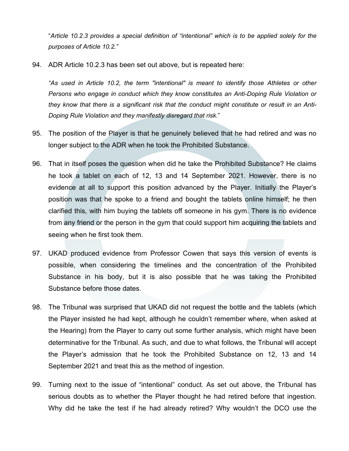"*Article 10.2.3 provides a special definition of "intentional" which is to be applied solely for the purposes of Article 10.2."*

94. ADR Article 10.2.3 has been set out above, but is repeated here:

*"As used in Article 10.2, the term "intentional" is meant to identify those Athletes or other Persons who engage in conduct which they know constitutes an Anti-Doping Rule Violation or they know that there is a significant risk that the conduct might constitute or result in an Anti-Doping Rule Violation and they manifestly disregard that risk*."

- 95. The position of the Player is that he genuinely believed that he had retired and was no longer subject to the ADR when he took the Prohibited Substance.
- 96. That in itself poses the question when did he take the Prohibited Substance? He claims he took a tablet on each of 12, 13 and 14 September 2021. However, there is no evidence at all to support this position advanced by the Player. Initially the Player's position was that he spoke to a friend and bought the tablets online himself; he then clarified this, with him buying the tablets off someone in his gym. There is no evidence from any friend or the person in the gym that could support him acquiring the tablets and seeing when he first took them.
- 97. UKAD produced evidence from Professor Cowen that says this version of events is possible, when considering the timelines and the concentration of the Prohibited Substance in his body, but it is also possible that he was taking the Prohibited Substance before those dates.
- 98. The Tribunal was surprised that UKAD did not request the bottle and the tablets (which the Player insisted he had kept, although he couldn't remember where, when asked at the Hearing) from the Player to carry out some further analysis, which might have been determinative for the Tribunal. As such, and due to what follows, the Tribunal will accept the Player's admission that he took the Prohibited Substance on 12, 13 and 14 September 2021 and treat this as the method of ingestion.
- 99. Turning next to the issue of "intentional" conduct. As set out above, the Tribunal has serious doubts as to whether the Player thought he had retired before that ingestion. Why did he take the test if he had already retired? Why wouldn't the DCO use the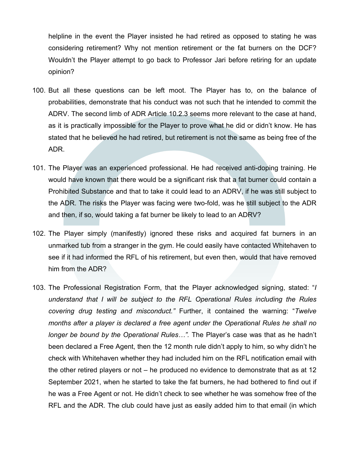helpline in the event the Player insisted he had retired as opposed to stating he was considering retirement? Why not mention retirement or the fat burners on the DCF? Wouldn't the Player attempt to go back to Professor Jari before retiring for an update opinion?

- 100. But all these questions can be left moot. The Player has to, on the balance of probabilities, demonstrate that his conduct was not such that he intended to commit the ADRV. The second limb of ADR Article 10.2.3 seems more relevant to the case at hand, as it is practically impossible for the Player to prove what he did or didn't know. He has stated that he believed he had retired, but retirement is not the same as being free of the ADR.
- 101. The Player was an experienced professional. He had received anti-doping training. He would have known that there would be a significant risk that a fat burner could contain a Prohibited Substance and that to take it could lead to an ADRV, if he was still subject to the ADR. The risks the Player was facing were two-fold, was he still subject to the ADR and then, if so, would taking a fat burner be likely to lead to an ADRV?
- 102. The Player simply (manifestly) ignored these risks and acquired fat burners in an unmarked tub from a stranger in the gym. He could easily have contacted Whitehaven to see if it had informed the RFL of his retirement, but even then, would that have removed him from the ADR?
- 103. The Professional Registration Form, that the Player acknowledged signing, stated: "*I understand that I will be subject to the RFL Operational Rules including the Rules covering drug testing and misconduct."* Further, it contained the warning: "*Twelve months after a player is declared a free agent under the Operational Rules he shall no longer be bound by the Operational Rules…".* The Player's case was that as he hadn't been declared a Free Agent, then the 12 month rule didn't apply to him, so why didn't he check with Whitehaven whether they had included him on the RFL notification email with the other retired players or not – he produced no evidence to demonstrate that as at 12 September 2021, when he started to take the fat burners, he had bothered to find out if he was a Free Agent or not. He didn't check to see whether he was somehow free of the RFL and the ADR. The club could have just as easily added him to that email (in which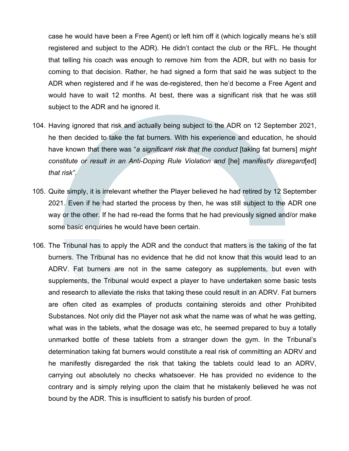case he would have been a Free Agent) or left him off it (which logically means he's still registered and subject to the ADR). He didn't contact the club or the RFL. He thought that telling his coach was enough to remove him from the ADR, but with no basis for coming to that decision. Rather, he had signed a form that said he was subject to the ADR when registered and if he was de-registered, then he'd become a Free Agent and would have to wait 12 months. At best, there was a significant risk that he was still subject to the ADR and he ignored it.

- 104. Having ignored that risk and actually being subject to the ADR on 12 September 2021, he then decided to take the fat burners. With his experience and education, he should have known that there was "*a significant risk that the conduct* [taking fat burners] *might constitute or result in an Anti-Doping Rule Violation and* [he] *manifestly disregard*[ed] *that risk"*.
- 105. Quite simply, it is irrelevant whether the Player believed he had retired by 12 September 2021. Even if he had started the process by then, he was still subject to the ADR one way or the other. If he had re-read the forms that he had previously signed and/or make some basic enquiries he would have been certain.
- 106. The Tribunal has to apply the ADR and the conduct that matters is the taking of the fat burners. The Tribunal has no evidence that he did not know that this would lead to an ADRV. Fat burners are not in the same category as supplements, but even with supplements, the Tribunal would expect a player to have undertaken some basic tests and research to alleviate the risks that taking these could result in an ADRV. Fat burners are often cited as examples of products containing steroids and other Prohibited Substances. Not only did the Player not ask what the name was of what he was getting, what was in the tablets, what the dosage was etc, he seemed prepared to buy a totally unmarked bottle of these tablets from a stranger down the gym. In the Tribunal's determination taking fat burners would constitute a real risk of committing an ADRV and he manifestly disregarded the risk that taking the tablets could lead to an ADRV, carrying out absolutely no checks whatsoever. He has provided no evidence to the contrary and is simply relying upon the claim that he mistakenly believed he was not bound by the ADR. This is insufficient to satisfy his burden of proof.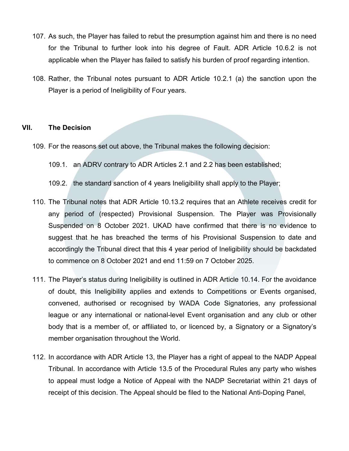- 107. As such, the Player has failed to rebut the presumption against him and there is no need for the Tribunal to further look into his degree of Fault. ADR Article 10.6.2 is not applicable when the Player has failed to satisfy his burden of proof regarding intention.
- 108. Rather, the Tribunal notes pursuant to ADR Article 10.2.1 (a) the sanction upon the Player is a period of Ineligibility of Four years.

#### **VII. The Decision**

- 109. For the reasons set out above, the Tribunal makes the following decision:
	- 109.1. an ADRV contrary to ADR Articles 2.1 and 2.2 has been established;
	- 109.2. the standard sanction of 4 years Ineligibility shall apply to the Player;
- 110. The Tribunal notes that ADR Article 10.13.2 requires that an Athlete receives credit for any period of (respected) Provisional Suspension. The Player was Provisionally Suspended on 8 October 2021. UKAD have confirmed that there is no evidence to suggest that he has breached the terms of his Provisional Suspension to date and accordingly the Tribunal direct that this 4 year period of Ineligibility should be backdated to commence on 8 October 2021 and end 11:59 on 7 October 2025.
- 111. The Player's status during Ineligibility is outlined in ADR Article 10.14. For the avoidance of doubt, this Ineligibility applies and extends to Competitions or Events organised, convened, authorised or recognised by WADA Code Signatories, any professional league or any international or national-level Event organisation and any club or other body that is a member of, or affiliated to, or licenced by, a Signatory or a Signatory's member organisation throughout the World.
- 112. In accordance with ADR Article 13, the Player has a right of appeal to the NADP Appeal Tribunal. In accordance with Article 13.5 of the Procedural Rules any party who wishes to appeal must lodge a Notice of Appeal with the NADP Secretariat within 21 days of receipt of this decision. The Appeal should be filed to the National Anti-Doping Panel,